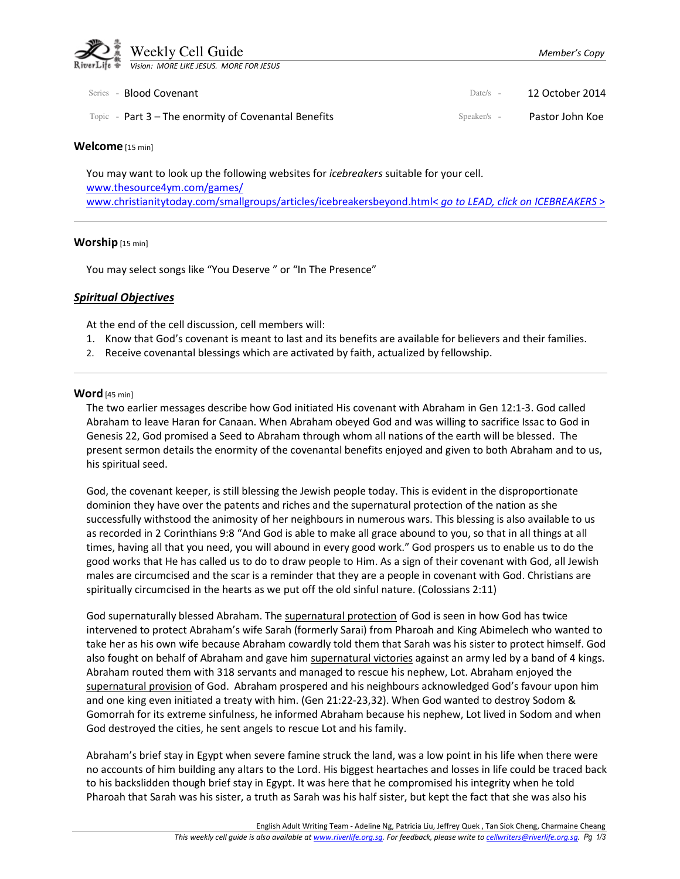

| Series - <b>Blood Covenant</b>                         | Date/s $-$    | 12 October 2014 |
|--------------------------------------------------------|---------------|-----------------|
| Topic - Part $3$ – The enormity of Covenantal Benefits | $Speaker/s -$ | Pastor John Koe |

#### Welcome [15 min]

You may want to look up the following websites for *icebreakers* suitable for your cell. www.thesource4ym.com/games/ www.christianitytoday.com/smallgroups/articles/icebreakersbeyond.html< go to LEAD, click on ICEBREAKERS >

#### Worship [15 min]

You may select songs like "You Deserve" or "In The Presence"

## Spiritual Objectives

At the end of the cell discussion, cell members will:

- 1. Know that God's covenant is meant to last and its benefits are available for believers and their families.
- 2. Receive covenantal blessings which are activated by faith, actualized by fellowship.

#### Word [45 min]

The two earlier messages describe how God initiated His covenant with Abraham in Gen 12:1-3. God called Abraham to leave Haran for Canaan. When Abraham obeyed God and was willing to sacrifice Issac to God in Genesis 22, God promised a Seed to Abraham through whom all nations of the earth will be blessed. The present sermon details the enormity of the covenantal benefits enjoyed and given to both Abraham and to us, his spiritual seed.

God, the covenant keeper, is still blessing the Jewish people today. This is evident in the disproportionate dominion they have over the patents and riches and the supernatural protection of the nation as she successfully withstood the animosity of her neighbours in numerous wars. This blessing is also available to us as recorded in 2 Corinthians 9:8 "And God is able to make all grace abound to you, so that in all things at all times, having all that you need, you will abound in every good work." God prospers us to enable us to do the good works that He has called us to do to draw people to Him. As a sign of their covenant with God, all Jewish males are circumcised and the scar is a reminder that they are a people in covenant with God. Christians are spiritually circumcised in the hearts as we put off the old sinful nature. (Colossians 2:11)

God supernaturally blessed Abraham. The supernatural protection of God is seen in how God has twice intervened to protect Abraham's wife Sarah (formerly Sarai) from Pharoah and King Abimelech who wanted to take her as his own wife because Abraham cowardly told them that Sarah was his sister to protect himself. God also fought on behalf of Abraham and gave him supernatural victories against an army led by a band of 4 kings. Abraham routed them with 318 servants and managed to rescue his nephew, Lot. Abraham enjoyed the supernatural provision of God. Abraham prospered and his neighbours acknowledged God's favour upon him and one king even initiated a treaty with him. (Gen 21:22-23,32). When God wanted to destroy Sodom & Gomorrah for its extreme sinfulness, he informed Abraham because his nephew, Lot lived in Sodom and when God destroyed the cities, he sent angels to rescue Lot and his family.

Abraham's brief stay in Egypt when severe famine struck the land, was a low point in his life when there were no accounts of him building any altars to the Lord. His biggest heartaches and losses in life could be traced back to his backslidden though brief stay in Egypt. It was here that he compromised his integrity when he told Pharoah that Sarah was his sister, a truth as Sarah was his half sister, but kept the fact that she was also his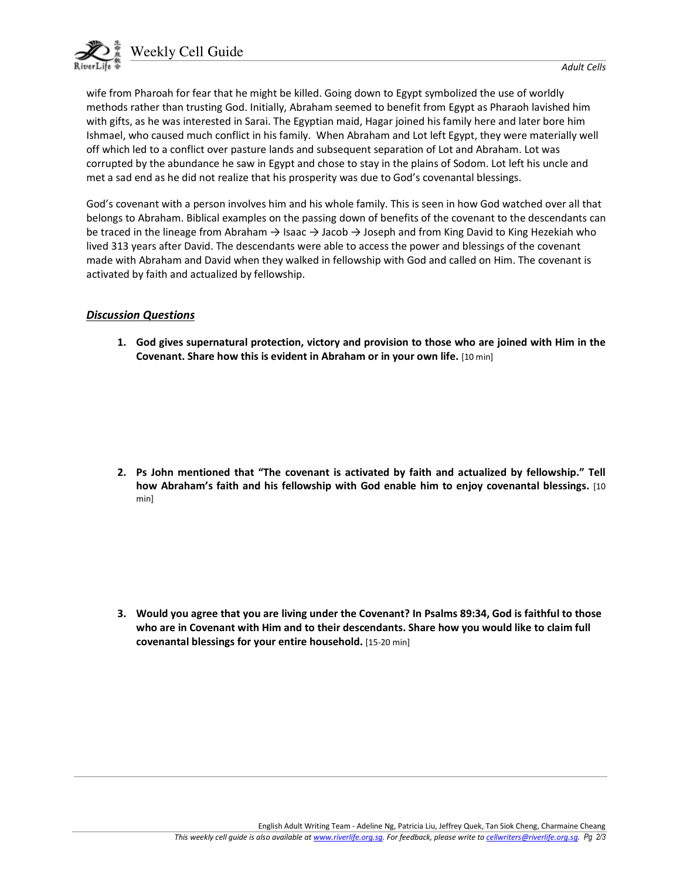

wife from Pharoah for fear that he might be killed. Going down to Egypt symbolized the use of worldly methods rather than trusting God. Initially, Abraham seemed to benefit from Egypt as Pharaoh lavished him with gifts, as he was interested in Sarai. The Egyptian maid, Hagar joined his family here and later bore him Ishmael, who caused much conflict in his family. When Abraham and Lot left Egypt, they were materially well off which led to a conflict over pasture lands and subsequent separation of Lot and Abraham. Lot was corrupted by the abundance he saw in Egypt and chose to stay in the plains of Sodom. Lot left his uncle and met a sad end as he did not realize that his prosperity was due to God's covenantal blessings.

God's covenant with a person involves him and his whole family. This is seen in how God watched over all that belongs to Abraham. Biblical examples on the passing down of benefits of the covenant to the descendants can be traced in the lineage from Abraham  $\rightarrow$  Isaac  $\rightarrow$  Jacob  $\rightarrow$  Joseph and from King David to King Hezekiah who lived 313 years after David. The descendants were able to access the power and blessings of the covenant made with Abraham and David when they walked in fellowship with God and called on Him. The covenant is activated by faith and actualized by fellowship.

## Discussion Questions

 1. God gives supernatural protection, victory and provision to those who are joined with Him in the Covenant. Share how this is evident in Abraham or in your own life. [10 min]

2. Ps John mentioned that "The covenant is activated by faith and actualized by fellowship." Tell how Abraham's faith and his fellowship with God enable him to enjoy covenantal blessings. [10] min]

3. Would you agree that you are living under the Covenant? In Psalms 89:34, God is faithful to those who are in Covenant with Him and to their descendants. Share how you would like to claim full covenantal blessings for your entire household. [15-20 min]